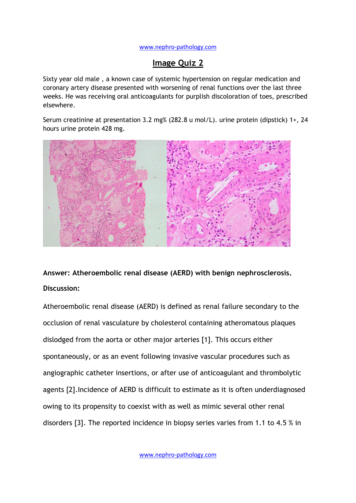## [www.nephro-pathology.com](http://www.nephro-pathology.com/)

## **Image Quiz 2**

Sixty year old male , a known case of systemic hypertension on regular medication and coronary artery disease presented with worsening of renal functions over the last three weeks. He was receiving oral anticoagulants for purplish discoloration of toes, prescribed elsewhere.

Serum creatinine at presentation 3.2 mg% (282.8 u mol/L). urine protein (dipstick) 1+, 24 hours urine protein 428 mg.



**Answer: Atheroembolic renal disease (AERD) with benign nephrosclerosis. Discussion:**

Atheroembolic renal disease (AERD) is defined as renal failure secondary to the occlusion of renal vasculature by cholesterol containing atheromatous plaques dislodged from the aorta or other major arteries [1]. This occurs either spontaneously, or as an event following invasive vascular procedures such as angiographic catheter insertions, or after use of anticoagulant and thrombolytic agents [2].Incidence of AERD is difficult to estimate as it is often underdiagnosed owing to its propensity to coexist with as well as mimic several other renal disorders [3]. The reported incidence in biopsy series varies from 1.1 to 4.5 % in

www.nephro-pathology.com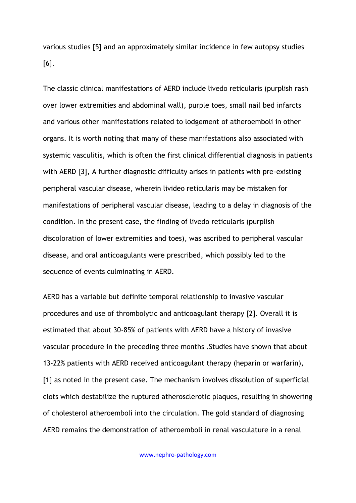various studies [5] and an approximately similar incidence in few autopsy studies [6].

The classic clinical manifestations of AERD include livedo reticularis (purplish rash over lower extremities and abdominal wall), purple toes, small nail bed infarcts and various other manifestations related to lodgement of atheroemboli in other organs. It is worth noting that many of these manifestations also associated with systemic vasculitis, which is often the first clinical differential diagnosis in patients with AERD [3], A further diagnostic difficulty arises in patients with pre-existing peripheral vascular disease, wherein livideo reticularis may be mistaken for manifestations of peripheral vascular disease, leading to a delay in diagnosis of the condition. In the present case, the finding of livedo reticularis (purplish discoloration of lower extremities and toes), was ascribed to peripheral vascular disease, and oral anticoagulants were prescribed, which possibly led to the sequence of events culminating in AERD.

AERD has a variable but definite temporal relationship to invasive vascular procedures and use of thrombolytic and anticoagulant therapy [2]. Overall it is estimated that about 30-85% of patients with AERD have a history of invasive vascular procedure in the preceding three months .Studies have shown that about 13-22% patients with AERD received anticoagulant therapy (heparin or warfarin), [1] as noted in the present case. The mechanism involves dissolution of superficial clots which destabilize the ruptured atherosclerotic plaques, resulting in showering of cholesterol atheroemboli into the circulation. The gold standard of diagnosing AERD remains the demonstration of atheroemboli in renal vasculature in a renal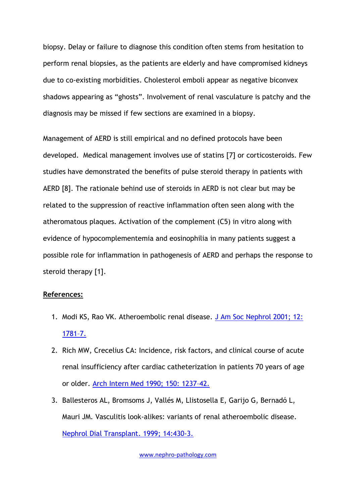biopsy. Delay or failure to diagnose this condition often stems from hesitation to perform renal biopsies, as the patients are elderly and have compromised kidneys due to co-existing morbidities. Cholesterol emboli appear as negative biconvex shadows appearing as "ghosts". Involvement of renal vasculature is patchy and the diagnosis may be missed if few sections are examined in a biopsy.

Management of AERD is still empirical and no defined protocols have been developed. Medical management involves use of statins [7] or corticosteroids. Few studies have demonstrated the benefits of pulse steroid therapy in patients with AERD [8]. The rationale behind use of steroids in AERD is not clear but may be related to the suppression of reactive inflammation often seen along with the atheromatous plaques. Activation of the complement (C5) in vitro along with evidence of hypocomplementemia and eosinophilia in many patients suggest a possible role for inflammation in pathogenesis of AERD and perhaps the response to steroid therapy [1].

## **References:**

- 1. Modi KS, Rao VK. Atheroembolic renal disease. [J Am Soc Nephrol 2001; 12:](http://jasn.asnjournals.org/content/12/8/1781.full.pdf+html)  [1781](http://jasn.asnjournals.org/content/12/8/1781.full.pdf+html)–7.
- 2. Rich MW, Crecelius CA: Incidence, risk factors, and clinical course of acute renal insufficiency after cardiac catheterization in patients 70 years of age or older. [Arch Intern Med 1990; 150: 1237](http://www.ncbi.nlm.nih.gov/pubmed/2353856)–42.
- 3. Ballesteros AL, Bromsoms J, Vallés M, Llistosella E, Garijo G, Bernadó L, Mauri JM. Vasculitis look-alikes: variants of renal atheroembolic disease. [Nephrol Dial Transplant. 1999; 14:430-3.](http://ndt.oxfordjournals.org/content/14/2/430.long)